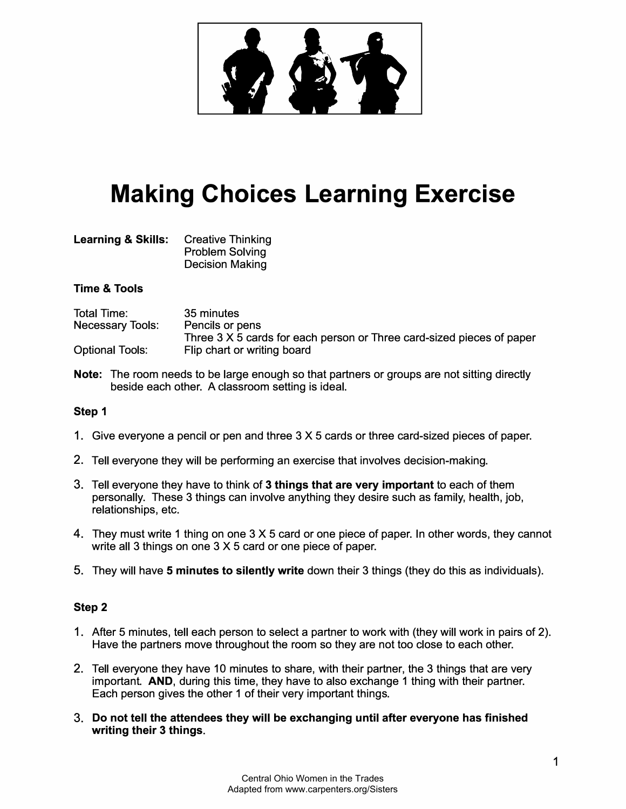

# **Making Choices Learning Exercise**

| <b>Learning &amp; Skills:</b> | <b>Creative Thinking</b> |
|-------------------------------|--------------------------|
|                               | <b>Problem Solving</b>   |
|                               | <b>Decision Making</b>   |

## **Time & Tools**

| <b>Total Time:</b>      | 35 minutes                                                            |
|-------------------------|-----------------------------------------------------------------------|
| <b>Necessary Tools:</b> | Pencils or pens                                                       |
|                         | Three 3 X 5 cards for each person or Three card-sized pieces of paper |
| <b>Optional Tools:</b>  | Flip chart or writing board                                           |

**Note:** The room needs to be large enough so that partners or groups are not sitting directly beside each other. A classroom setting is ideal.

## **Step 1**

- 1 . Give everyone a pencil or pen and three 3 X 5 cards or three card-sized pieces of paper.
- 2. Tell everyone they will be performing an exercise that involves decision-making.
- 3. Tell everyone they have to think of **3 things that are very important** to each of them personally. These 3 things can involve anything they desire such as family, health, job, relationships, etc.
- 4. They must write 1 thing on one 3 X 5 card or one piece of paper. In other words, they cannot write all 3 things on one 3 X 5 card or one piece of paper.
- 5. They will have **5 minutes to silently write** down their 3 things (they do this as individuals).

### **Step 2**

- 1 . After 5 minutes, tell each person to select a partner to work with (they will work in pairs of 2). Have the partners move throughout the room so they are not too close to each other.
- 2. Tell everyone they have 10 minutes to share, with their partner, the 3 things that are very important. **AND,** during this time, they have to also exchange 1 thing with their partner. Each person gives the other 1 of their very important things.
- 3. **Do not tell the attendees they will be exchanging until after everyone has finished writing their 3 things.**